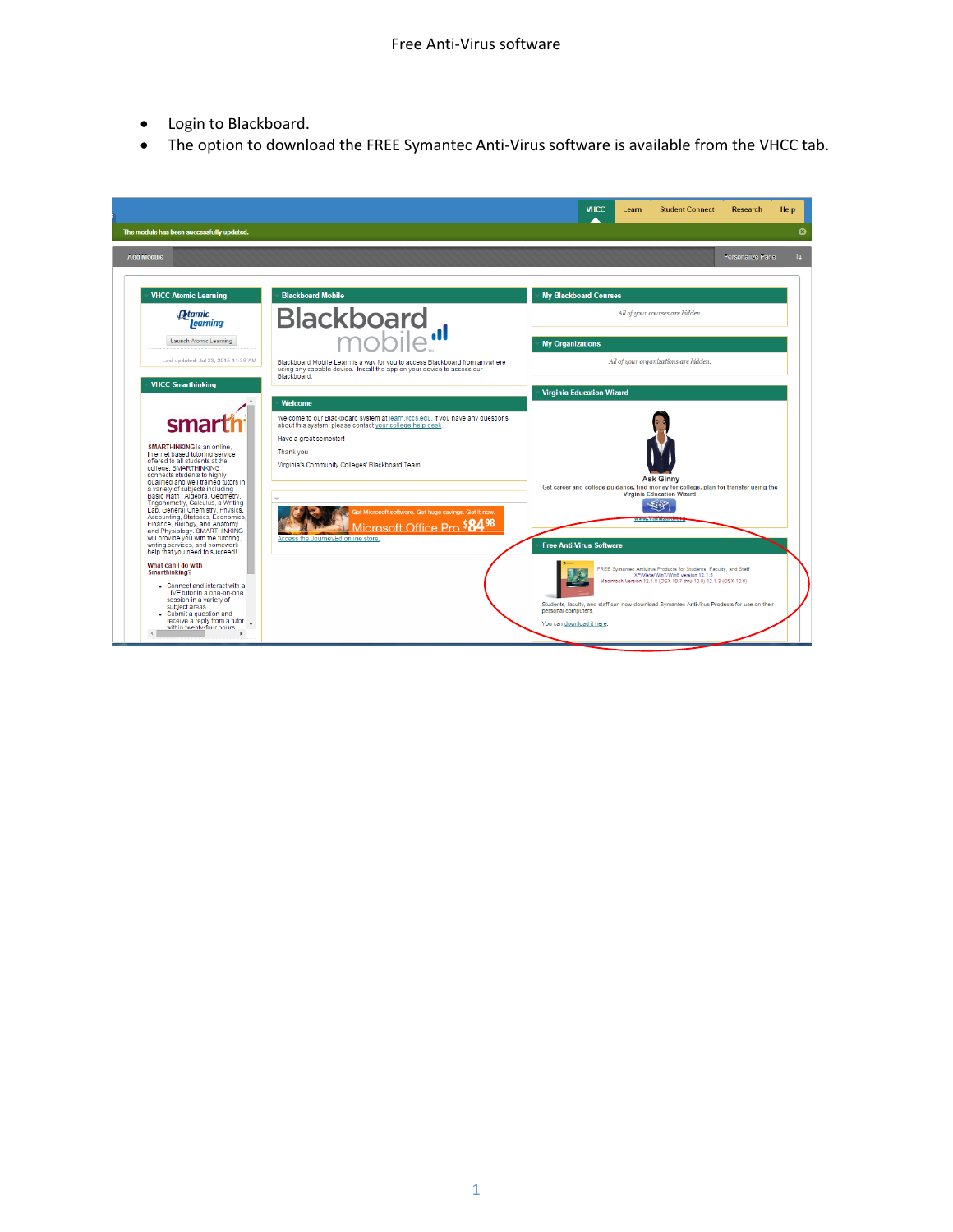- Login to Blackboard.
- The option to download the FREE Symantec Anti-Virus software is available from the VHCC tab.

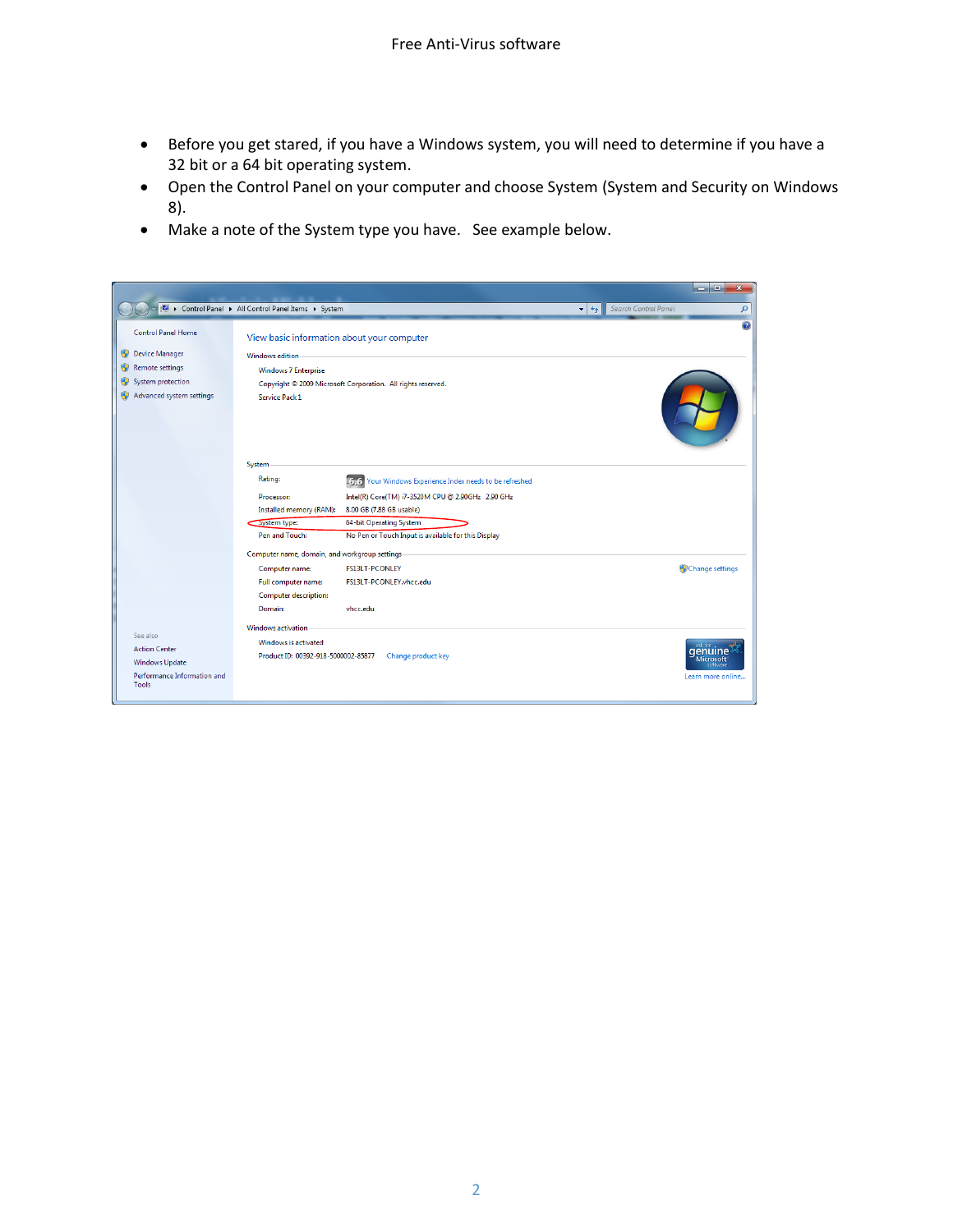- Before you get stared, if you have a Windows system, you will need to determine if you have a 32 bit or a 64 bit operating system.
- Open the Control Panel on your computer and choose System (System and Security on Windows 8).
- Make a note of the System type you have. See example below.

|                                      |                                                              |                                                         | $=$ $\blacksquare$                                     | $\mathbf{x}$ |
|--------------------------------------|--------------------------------------------------------------|---------------------------------------------------------|--------------------------------------------------------|--------------|
|                                      | Control Panel > All Control Panel Items > System             |                                                         | Search Control Panel<br>$+$<br>$\overline{\mathbf{v}}$ | ρ            |
| <b>Control Panel Home</b>            | View basic information about your computer                   |                                                         |                                                        | $\circledR$  |
| <b>Device Manager</b>                | <b>Windows edition</b>                                       |                                                         |                                                        |              |
| Remote settings                      | <b>Windows 7 Enterprise</b>                                  |                                                         |                                                        |              |
| System protection                    | Copyright © 2009 Microsoft Corporation. All rights reserved. |                                                         |                                                        |              |
| Advanced system settings             | <b>Service Pack 1</b>                                        |                                                         |                                                        |              |
|                                      | System                                                       |                                                         |                                                        |              |
|                                      | Rating:                                                      | 6.6 Your Windows Experience Index needs to be refreshed |                                                        |              |
|                                      | Processor:                                                   | Intel(R) Core(TM) i7-3520M CPU @ 2.90GHz 2.90 GHz       |                                                        |              |
|                                      | Installed memory (RAM):                                      | 8.00 GB (7.88 GB usable)                                |                                                        |              |
|                                      | System type:                                                 | 64-bit Operating System                                 |                                                        |              |
|                                      | Pen and Touch:                                               | No Pen or Touch Input is available for this Display     |                                                        |              |
|                                      | Computer name, domain, and workgroup settings                |                                                         |                                                        |              |
|                                      | Computer name:                                               | <b>FS13LT-PCONLEY</b>                                   | Change settings                                        |              |
|                                      | Full computer name:                                          | FS13LT-PCONLEY.vhcc.edu                                 |                                                        |              |
|                                      | <b>Computer description:</b>                                 |                                                         |                                                        |              |
|                                      | Domain:                                                      | vhcc.edu                                                |                                                        |              |
|                                      | <b>Windows activation</b>                                    |                                                         |                                                        |              |
| See also                             | Windows is activated                                         |                                                         |                                                        |              |
| <b>Action Center</b>                 | Product ID: 00392-918-5000002-85877                          | Change product key                                      | Microsoft                                              |              |
| <b>Windows Update</b>                |                                                              |                                                         | software                                               |              |
| Performance Information and<br>Tools |                                                              |                                                         | Learn more online                                      |              |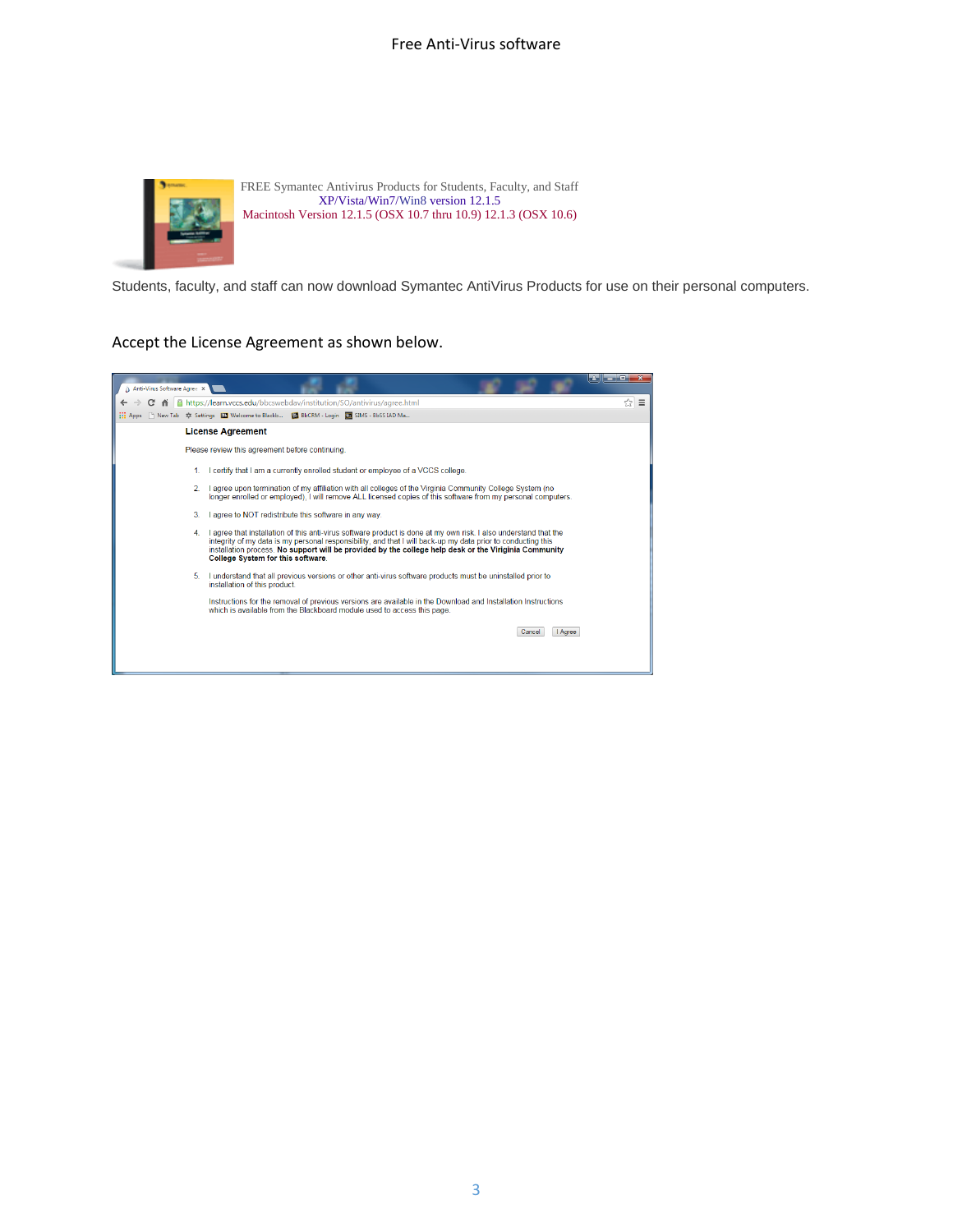## Free Anti-Virus software



Students, faculty, and staff can now download Symantec AntiVirus Products for use on their personal computers.

## Accept the License Agreement as shown below.